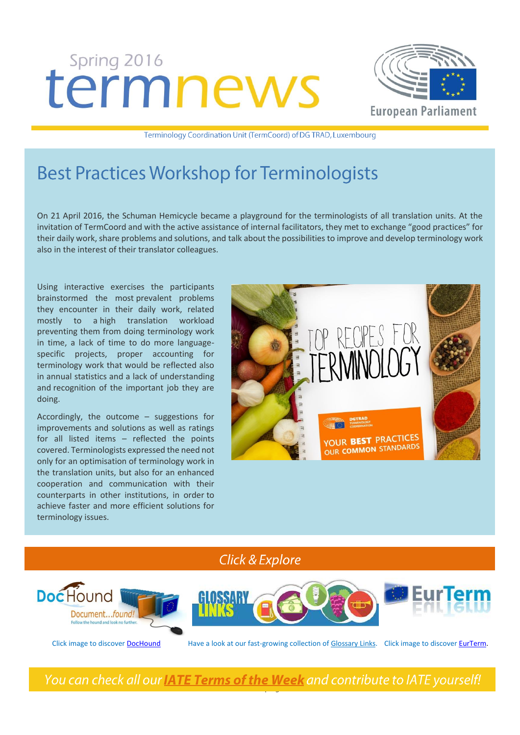# termnews



Terminology Coordination Unit (TermCoord) of DG TRAD, Luxembourg

# **Best Practices Workshop for Terminologists**

On 21 April 2016, the Schuman Hemicycle became a playground for the terminologists of all translation units. At the invitation of TermCoord and with the active assistance of internal facilitators, they met to exchange "good practices" for their daily work, share problems and solutions, and talk about the possibilities to improve and develop terminology work also in the interest of their translator colleagues.

Using interactive exercises the participants brainstormed the most prevalent problems they encounter in their daily work, related mostly to a high translation workload preventing them from doing terminology work in time, a lack of time to do more languagespecific projects, proper accounting for terminology work that would be reflected also in annual statistics and a lack of understanding and recognition of the important job they are doing.

Accordingly, the outcome – suggestions for improvements and solutions as well as ratings for all listed items – reflected the points covered. Terminologists expressed the need not only for an optimisation of terminology work in the translation units, but also for an enhanced cooperation and communication with their counterparts in other institutions, in order to achieve faster and more efficient solutions for terminology issues.



**Click & Explore** 



Click image to discove[r DocHound](http://termcoord.eu/dochound/) Have a look at our fast-growing collection of [Glossary Links.](http://termcoord.eu/glossarylinks/) Click image to discove[r EurTerm.](https://webgate.ec.europa.eu/fpfis/wikis/pages/viewpage.action?ticket=ST-6580996-Z2WF2iTmYsR9lUn0vKlUJpe2tfaCmxuR1LujKNHYxCmXvIpB7PF223nNagmte6tqBS8TCUEebRtFJyZjna80NW-Jj71zxYb8yrHGgJfkcIzza0-mU0zxIStw7CIy1roHRSnGFAw3NTBsqW1CglIL2lldAv&spaceKey=iatetp&title=Home)

You can check all our **IATE Terms of the Week** and contribute to IATE yourself!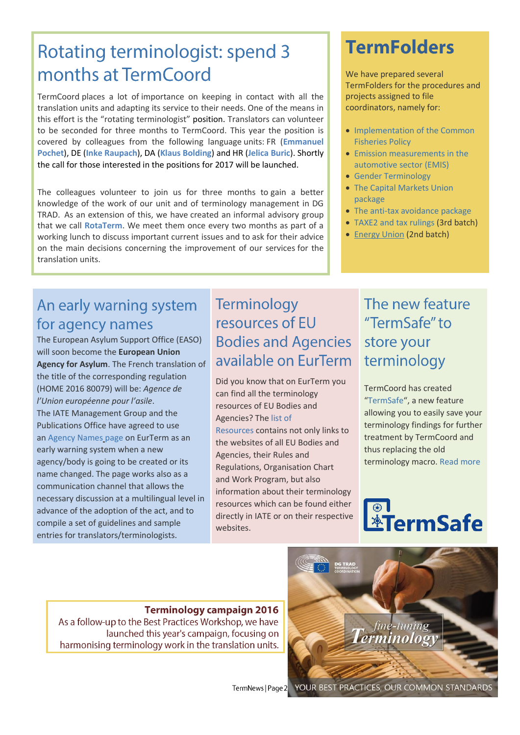# Rotating terminologist: spend 3 months at TermCoord

TermCoord places a lot of importance on keeping in contact with all the translation units and adapting its service to their needs. One of the means in this effort is the "rotating terminologist" position. Translators can volunteer to be seconded for three months to TermCoord. This year the position is covered by colleagues from the following language units: FR (**Emmanuel Pochet**), DE (**Inke Raupach**), DA (**Klaus Bolding**) and HR (**Jelica Buric**). Shortly the call for those interested in the positions for 2017 will be launched.

The colleagues volunteer to join us for three months to gain a better knowledge of the work of our unit and of terminology management in DG TRAD. As an extension of this, we have created an informal advisory group that we call **RotaTerm**. We meet them once every two months as part of a working lunch to discuss important current issues and to ask for their advice on the main decisions concerning the improvement of our services for the translation units.

## An early warning system for agency names

The European Asylum Support Office (EASO) will soon become the **European Union Agency for Asylum**. The French translation of the title of the corresponding regulation (HOME 2016 80079) will be: *Agence de l'Union européenne pour l'asile*. The IATE Management Group and the Publications Office have agreed to use an [Agency Names](https://webgate.ec.europa.eu/fpfis/wikis/display/iatetp/Agency+Names) [page o](https://webgate.ec.europa.eu/fpfis/wikis/display/iatetp/Agency+Names)n EurTerm as an early warning system when a new agency/body is going to be created or its name changed. The page works also as a communication channel that allows the necessary discussion at a multilingual level in advance of the adoption of the act, and to compile a set of guidelines and sample entries for translators/terminologists.

## Terminology resources of EU **Bodies and Agencies** available on EurTerm

Did you know that on EurTerm you can find all the terminology resources of EU Bodies and Agencies? Th[e list of](https://webgate.ec.europa.eu/fpfis/wikis/display/iatetp/Resources+of+EU+Bodies+and+Agencies)  [Resources c](https://webgate.ec.europa.eu/fpfis/wikis/display/iatetp/Resources+of+EU+Bodies+and+Agencies)ontains not only links to the websites of all EU Bodies and Agencies, their Rules and Regulations, Organisation Chart and Work Program, but also information about their terminology resources which can be found either directly in IATE or on their respective websites.

# **TermFolders**

We have prepared several TermFolders for the procedures and projects assigned to file coordinators, namely for:

- Implementation of the Common [Fisheries Policy](http://tradportal.ep.parl.union.eu/terminology/plato-termfolders/implementation-of-the-common-fisheries-policy/)
- [Emission measurements in the](http://tradportal.ep.parl.union.eu/terminology/plato-termfolders/emis-committee-of-inquiry/)  [automotive sector \(EMIS\)](http://tradportal.ep.parl.union.eu/terminology/plato-termfolders/emis-committee-of-inquiry/)
- [Gender Terminology](http://tradportal.ep.parl.union.eu/terminology/new-approach-towards-gender-terminology/)
- [The Capital Markets Union](http://tradportal.ep.parl.union.eu/terminology/plato-termfolders/20150226-cod-20150225-cod-20150268-cod/)  [package](http://tradportal.ep.parl.union.eu/terminology/plato-termfolders/20150226-cod-20150225-cod-20150268-cod/)
- [The anti-tax avoidance package](http://tradportal.ep.parl.union.eu/terminology/plato-termfolders/tax-avoidance-package/)
- [TAXE2 and tax rulings](http://tradportal.ep.parl.union.eu/terminology/plato-termfolders/report-on-tax-rulings-20152066ini/) (3rd batch)
- [Energy Union](http://tradportal.ep.parl.union.eu/terminology/plato-termfolders/20152113ini-towards-a-european-energy-union/) (2nd batch)

# The new feature "TermSafe" to store your terminology

TermCoord has created "[TermSafe](http://tradportal.ep.parl.union.eu/terminology/termsafe/#EN)", a new feature allowing you to easily save your terminology findings for further treatment by TermCoord and thus replacing the old terminology macro[. Read more](http://tradportal.ep.parl.union.eu/terminology/termsafe/about-termsafe/) 

# *<b>ATermSafe*

**Terminology campaign 2016** As a follow-up to the Best Practices Workshop, we have launched this year's campaign, focusing on harmonising terminology work in the translation units.



TermNews | Page 2